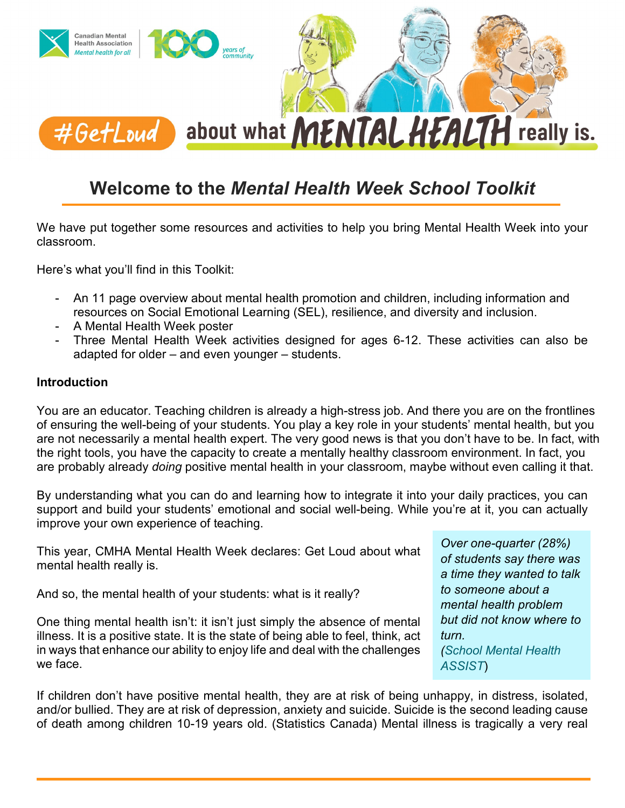

### **Welcome to the** *Mental Health Week School Toolkit*

We have put together some resources and activities to help you bring Mental Health Week into your classroom.

Here's what you'll find in this Toolkit:

- An 11 page overview about mental health promotion and children, including information and resources on Social Emotional Learning (SEL), resilience, and diversity and inclusion.
- A Mental Health Week poster
- Three Mental Health Week activities designed for ages 6-12. These activities can also be adapted for older – and even younger – students.

#### **Introduction**

You are an educator. Teaching children is already a high-stress job. And there you are on the frontlines of ensuring the well-being of your students. You play a key role in your students' mental health, but you are not necessarily a mental health expert. The very good news is that you don't have to be. In fact, with the right tools, you have the capacity to create a mentally healthy classroom environment. In fact, you are probably already *doing* positive mental health in your classroom, maybe without even calling it that.

By understanding what you can do and learning how to integrate it into your daily practices, you can support and build your students' emotional and social well-being. While you're at it, you can actually improve your own experience of teaching.

This year, CMHA Mental Health Week declares: Get Loud about what mental health really is.

And so, the mental health of your students: what is it really?

One thing mental health isn't: it isn't just simply the absence of mental illness. It is a positive state. It is the state of being able to feel, think, act in ways that enhance our ability to enjoy life and deal with the challenges we face.

*Over one-quarter (28%) of students say there was a time they wanted to talk to someone about a mental health problem but did not know where to turn. (School Mental Health [ASSIST](https://smh-assist.ca/)*)

If children don't have positive mental health, they are at risk of being unhappy, in distress, isolated, and/or bullied. They are at risk of depression, anxiety and suicide. Suicide is the second leading cause of death among children 10-19 years old. (Statistics Canada) Mental illness is tragically a very real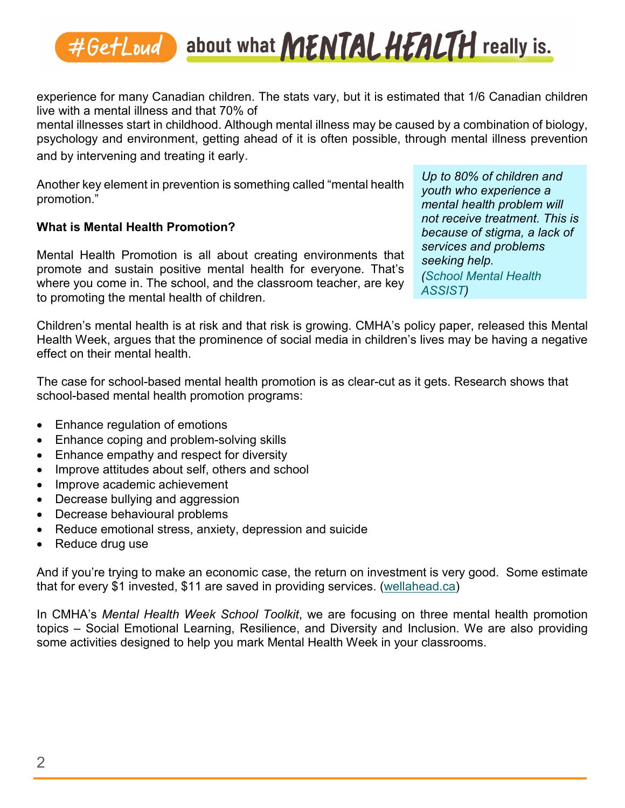experience for many Canadian children. The stats vary, but it is estimated that 1/6 Canadian children live with a mental illness and that 70% of

mental illnesses start in childhood. Although mental illness may be caused by a combination of biology, psychology and environment, getting ahead of it is often possible, through mental illness prevention and by intervening and treating it early.

Another key element in prevention is something called "mental health promotion."

#### **What is Mental Health Promotion?**

Mental Health Promotion is all about creating environments that promote and sustain positive mental health for everyone. That's where you come in. The school, and the classroom teacher, are key to promoting the mental health of children.

*Up to 80% of children and youth who experience a mental health problem will not receive treatment. This is because of stigma, a lack of services and problems seeking help. [\(School Mental](https://smh-assist.ca/) Health ASSIST)*

Children's mental health is at risk and that risk is growing. CMHA's policy paper, released this Mental Health Week, argues that the prominence of social media in children's lives may be having a negative effect on their mental health.

The case for school-based mental health promotion is as clear-cut as it gets. Research shows that school-based mental health promotion programs:

- Enhance regulation of emotions
- Enhance coping and problem-solving skills
- Enhance empathy and respect for diversity
- Improve attitudes about self, others and school
- Improve academic achievement
- Decrease bullying and aggression
- Decrease behavioural problems
- Reduce emotional stress, anxiety, depression and suicide
- Reduce drug use

And if you're trying to make an economic case, the return on investment is very good. Some estimate that for every \$1 invested, \$11 are saved in providing services. [\(wellahead.ca\)](https://cmhan.sharepoint.com/sites/allstaff/Shared%20Documents/Communications%20and%20Marketing/Corporate%20Communications/Mental%20Health%20Week/2019/School%20Toolkit/FINALS/Overview%20Piece/Introduction/wellahead.ca)

In CMHA's *Mental Health Week School Toolkit*, we are focusing on three mental health promotion topics – Social Emotional Learning, Resilience, and Diversity and Inclusion. We are also providing some activities designed to help you mark Mental Health Week in your classrooms.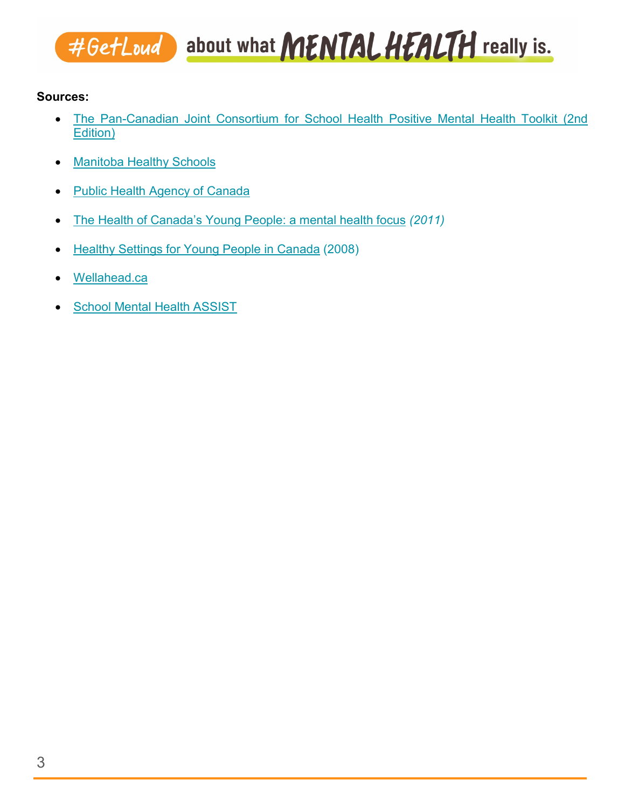#### **Sources:**

- [The Pan-Canadian Joint Consortium for School Health Positive Mental Health Toolkit](http://wmaproducts.com/JCSH/) (2nd [Edition\)](http://wmaproducts.com/JCSH/)
- [Manitoba Healthy Schools](https://www.gov.mb.ca/healthyschools/docs/Mental_Health_Promotion.pdf)
- [Public Health Agency of Canada](https://www.canada.ca/en/public-health/topics/improving-your-mental-health.html)
- The Health of Canada's Young [People: a mental](http://www.phac-aspc.gc.ca/hp-ps/dca-dea/prog-ini/school-scolaire/behaviour-comportements/publications/hcyp-sjc-eng.php) health focus *(2011)*
- Healthy [Settings](http://www.phac-aspc.gc.ca/hp-ps/dca-dea/prog-ini/school-scolaire/behaviour-comportements/publications/settings-cadres-eng.php) for Young People in Canada (2008)
- [Wellahead.ca](https://cmhan.sharepoint.com/sites/allstaff/Shared%20Documents/Communications%20and%20Marketing/Corporate%20Communications/Mental%20Health%20Week/2019/School%20Toolkit/FINALS/Overview%20Piece/Introduction/wellahead.ca)
- [School Mental Health ASSIST](https://smh-assist.ca/)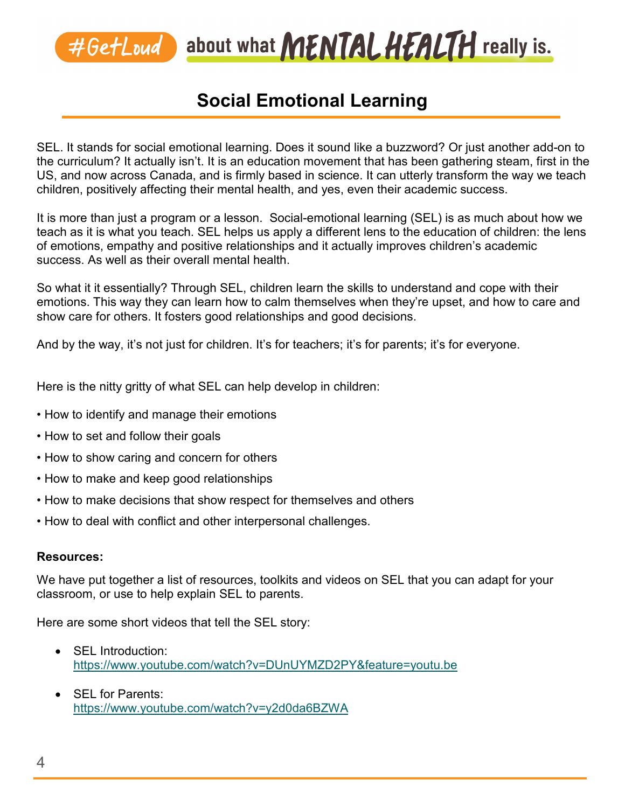

## **Social Emotional Learning**

SEL. It stands for social emotional learning. Does it sound like a buzzword? Or just another add-on to the curriculum? It actually isn't. It is an education movement that has been gathering steam, first in the US, and now across Canada, and is firmly based in science. It can utterly transform the way we teach children, positively affecting their mental health, and yes, even their academic success.

It is more than just a program or a lesson. Social-emotional learning (SEL) is as much about how we teach as it is what you teach. SEL helps us apply a different lens to the education of children: the lens of emotions, empathy and positive relationships and it actually improves children's academic success. As well as their overall mental health.

So what it it essentially? Through SEL, children learn the skills to understand and cope with their emotions. This way they can learn how to calm themselves when they're upset, and how to care and show care for others. It fosters good relationships and good decisions.

And by the way, it's not just for children. It's for teachers; it's for parents; it's for everyone.

Here is the nitty gritty of what SEL can help develop in children:

- How to identify and manage their emotions
- How to set and follow their goals
- How to show caring and concern for others
- How to make and keep good relationships
- How to make decisions that show respect for themselves and others
- How to deal with conflict and other interpersonal challenges.

#### **Resources:**

We have put together a list of resources, toolkits and videos on SEL that you can adapt for your classroom, or use to help explain SEL to parents.

Here are some short videos that tell the SEL story:

- SEL Introduction: <https://www.youtube.com/watch?v=DUnUYMZD2PY&feature=youtu.be>
- **SEL for Parents:** <https://www.youtube.com/watch?v=y2d0da6BZWA>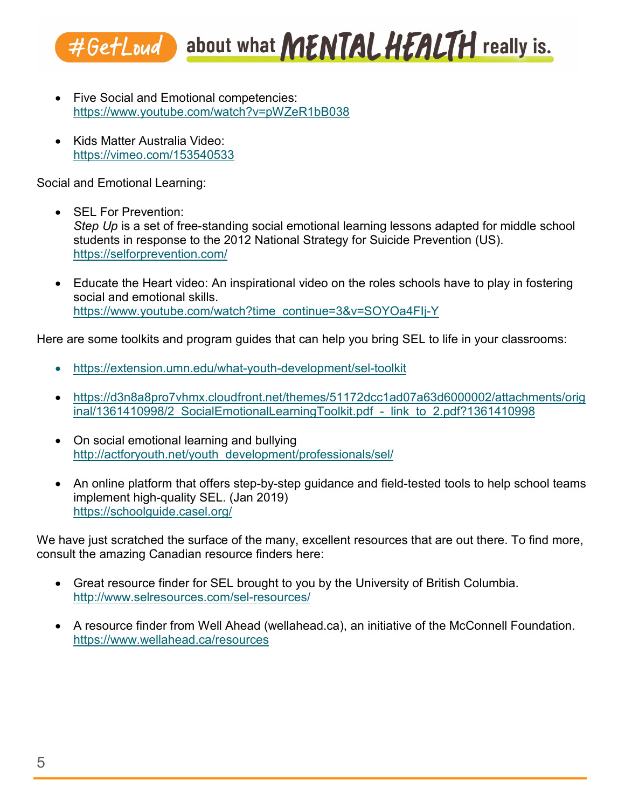- Five Social and Emotional competencies: <https://www.youtube.com/watch?v=pWZeR1bB038>
- Kids Matter Australia Video: <https://vimeo.com/153540533>

Social and Emotional Learning:

- SEL For Prevention: *Step Up* is a set of free-standing social emotional learning lessons adapted for middle school students in response to the 2012 National Strategy for Suicide Prevention (US). <https://selforprevention.com/>
- Educate the Heart video: An inspirational video on the roles schools have to play in fostering social and emotional skills. [https://www.youtube.com/watch?time\\_continue=3&v=SOYOa4FIj-Y](https://www.youtube.com/watch?time_continue=3&v=SOYOa4FIj-Y)

Here are some toolkits and program guides that can help you bring SEL to life in your classrooms:

- <https://extension.umn.edu/what-youth-development/sel-toolkit>
- [https://d3n8a8pro7vhmx.cloudfront.net/themes/51172dcc1ad07a63d6000002/attachments/orig](https://d3n8a8pro7vhmx.cloudfront.net/themes/51172dcc1ad07a63d6000002/attachments/original/1361410998/2_SocialEmotionalLearningToolkit.pdf_-_link_to_2.pdf?1361410998) inal/1361410998/2\_SocialEmotionalLearningToolkit.pdf - link\_to\_2.pdf?1361410998
- On social emotional learning and bullying [http://actforyouth.net/youth\\_development/professionals/sel/](http://actforyouth.net/youth_development/professionals/sel/)
- An online platform that offers step-by-step quidance and field-tested tools to help school teams implement high-quality SEL. (Jan 2019) <https://schoolguide.casel.org/>

We have just scratched the surface of the many, excellent resources that are out there. To find more, consult the amazing Canadian resource finders here:

- Great resource finder for SEL brought to you by the University of British Columbia. <http://www.selresources.com/sel-resources/>
- A resource finder from Well Ahead (wellahead.ca), an initiative of the McConnell Foundation. <https://www.wellahead.ca/resources>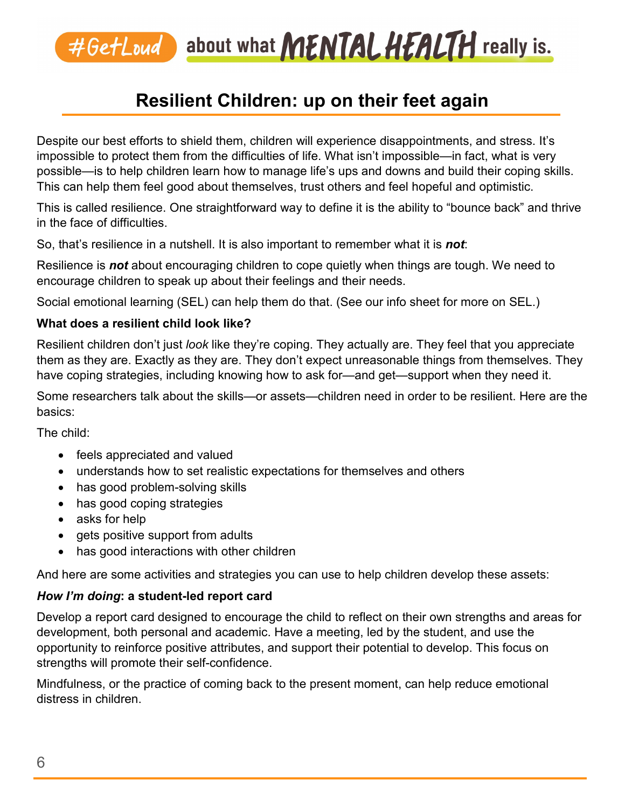# **Resilient Children: up on their feet again**

Despite our best efforts to shield them, children will experience disappointments, and stress. It's impossible to protect them from the difficulties of life. What isn't impossible—in fact, what is very possible—is to help children learn how to manage life's ups and downs and build their coping skills. This can help them feel good about themselves, trust others and feel hopeful and optimistic.

This is called resilience. One straightforward way to define it is the ability to "bounce back" and thrive in the face of difficulties.

So, that's resilience in a nutshell. It is also important to remember what it is *not*:

Resilience is *not* about encouraging children to cope quietly when things are tough. We need to encourage children to speak up about their feelings and their needs.

Social emotional learning (SEL) can help them do that. (See our info sheet for more on SEL.)

#### **What does a resilient child look like?**

Resilient children don't just *look* like they're coping. They actually are. They feel that you appreciate them as they are. Exactly as they are. They don't expect unreasonable things from themselves. They have coping strategies, including knowing how to ask for—and get—support when they need it.

Some researchers talk about the skills—or assets—children need in order to be resilient. Here are the basics:

The child:

- feels appreciated and valued
- understands how to set realistic expectations for themselves and others
- has good problem-solving skills
- has good coping strategies
- asks for help
- gets positive support from adults
- has good interactions with other children

And here are some activities and strategies you can use to help children develop these assets:

#### *How I'm doing***: a student-led report card**

Develop a report card designed to encourage the child to reflect on their own strengths and areas for development, both personal and academic. Have a meeting, led by the student, and use the opportunity to reinforce positive attributes, and support their potential to develop. This focus on strengths will promote their self-confidence.

Mindfulness, or the practice of coming back to the present moment, can help reduce emotional distress in children.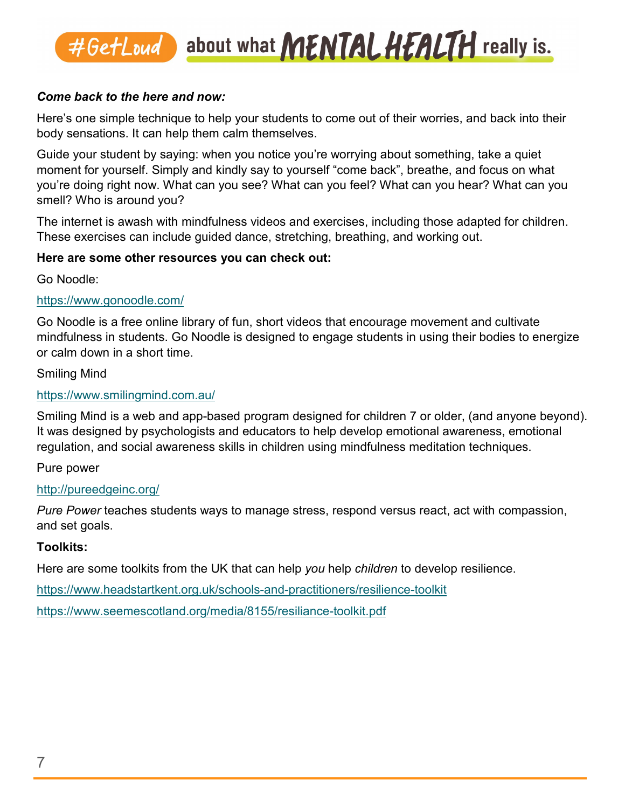#### *Come back to the here and now:*

Here's one simple technique to help your students to come out of their worries, and back into their body sensations. It can help them calm themselves.

Guide your student by saying: when you notice you're worrying about something, take a quiet moment for yourself. Simply and kindly say to yourself "come back", breathe, and focus on what you're doing right now. What can you see? What can you feel? What can you hear? What can you smell? Who is around you?

The internet is awash with mindfulness videos and exercises, including those adapted for children. These exercises can include guided dance, stretching, breathing, and working out.

#### **Here are some other resources you can check out:**

Go Noodle:

#### <https://www.gonoodle.com/>

Go Noodle is a free online library of fun, short videos that encourage movement and cultivate mindfulness in students. Go Noodle is designed to engage students in using their bodies to energize or calm down in a short time.

#### Smiling Mind

#### <https://www.smilingmind.com.au/>

Smiling Mind is a web and app-based program designed for children 7 or older, (and anyone beyond). It was designed by psychologists and educators to help develop emotional awareness, emotional regulation, and social awareness skills in children using mindfulness meditation techniques.

Pure power

#### <http://pureedgeinc.org/>

*Pure Power* teaches students ways to manage stress, respond versus react, act with compassion, and set goals.

#### **Toolkits:**

Here are some toolkits from the UK that can help *you* help *children* to develop resilience.

<https://www.headstartkent.org.uk/schools-and-practitioners/resilience-toolkit>

<https://www.seemescotland.org/media/8155/resiliance-toolkit.pdf>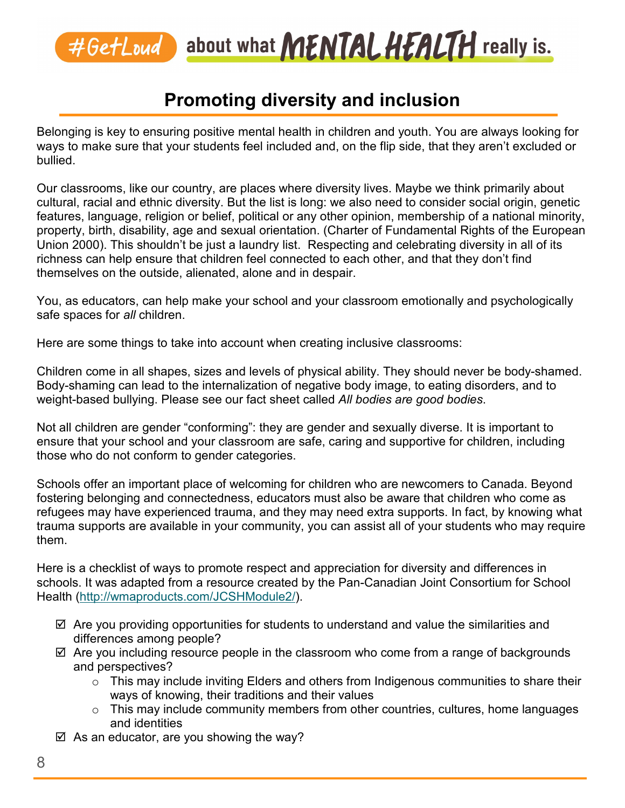# **Promoting diversity and inclusion**

Belonging is key to ensuring positive mental health in children and youth. You are always looking for ways to make sure that your students feel included and, on the flip side, that they aren't excluded or bullied.

Our classrooms, like our country, are places where diversity lives. Maybe we think primarily about cultural, racial and ethnic diversity. But the list is long: we also need to consider social origin, genetic features, language, religion or belief, political or any other opinion, membership of a national minority, property, birth, disability, age and sexual orientation. (Charter of Fundamental Rights of the European Union 2000). This shouldn't be just a laundry list. Respecting and celebrating diversity in all of its richness can help ensure that children feel connected to each other, and that they don't find themselves on the outside, alienated, alone and in despair.

You, as educators, can help make your school and your classroom emotionally and psychologically safe spaces for *all* children.

Here are some things to take into account when creating inclusive classrooms:

Children come in all shapes, sizes and levels of physical ability. They should never be body-shamed. Body-shaming can lead to the internalization of negative body image, to eating disorders, and to weight-based bullying. Please see our fact sheet called *All bodies are good bodies*.

Not all children are gender "conforming": they are gender and sexually diverse. It is important to ensure that your school and your classroom are safe, caring and supportive for children, including those who do not conform to gender categories.

Schools offer an important place of welcoming for children who are newcomers to Canada. Beyond fostering belonging and connectedness, educators must also be aware that children who come as refugees may have experienced trauma, and they may need extra supports. In fact, by knowing what trauma supports are available in your community, you can assist all of your students who may require them.

Here is a checklist of ways to promote respect and appreciation for diversity and differences in schools. It was adapted from a resource created by the Pan-Canadian Joint Consortium for School Health [\(http://wmaproducts.com/JCSHModule2/\)](http://wmaproducts.com/JCSHModule2/).

- $\boxtimes$  Are you providing opportunities for students to understand and value the similarities and differences among people?
- $\boxtimes$  Are you including resource people in the classroom who come from a range of backgrounds and perspectives?
	- $\circ$  This may include inviting Elders and others from Indigenous communities to share their ways of knowing, their traditions and their values
	- $\circ$  This may include community members from other countries, cultures, home languages and identities
- $\boxtimes$  As an educator, are you showing the way?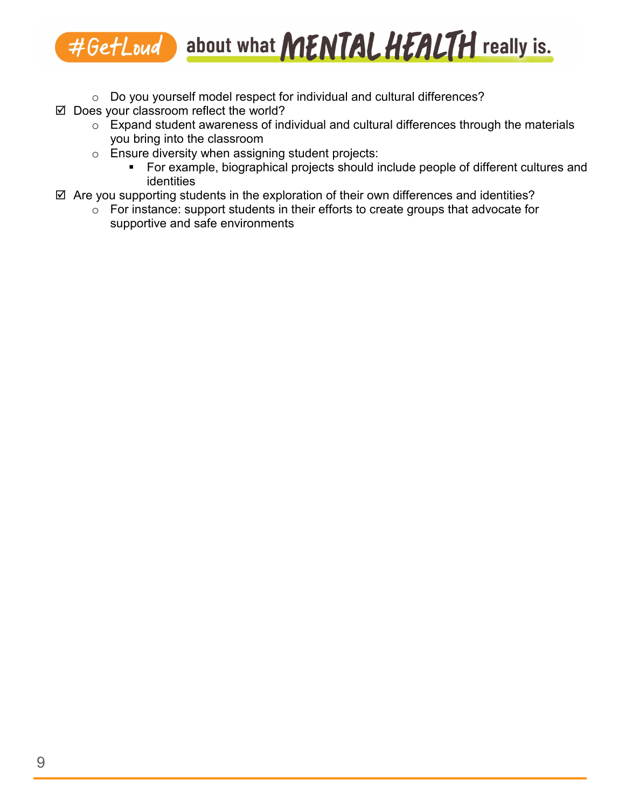- o Do you yourself model respect for individual and cultural differences?
- $\boxtimes$  Does your classroom reflect the world?
	- $\circ$  Expand student awareness of individual and cultural differences through the materials you bring into the classroom
	- o Ensure diversity when assigning student projects:
		- For example, biographical projects should include people of different cultures and identities
- $\boxtimes$  Are you supporting students in the exploration of their own differences and identities?
	- $\circ$  For instance: support students in their efforts to create groups that advocate for supportive and safe environments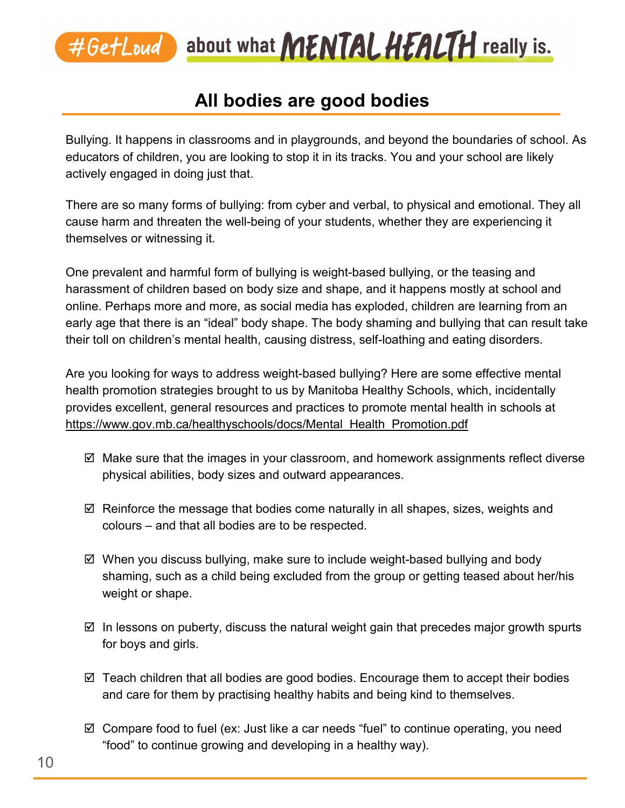

## **All bodies are good bodies**

Bullying. It happens in classrooms and in playgrounds, and beyond the boundaries of school. As educators of children, you are looking to stop it in its tracks. You and your school are likely actively engaged in doing just that.

There are so many forms of bullying: from cyber and verbal, to physical and emotional. They all cause harm and threaten the well-being of your students, whether they are experiencing it themselves or witnessing it.

One prevalent and harmful form of bullying is weight-based bullying, or the teasing and harassment of children based on body size and shape, and it happens mostly at school and online. Perhaps more and more, as social media has exploded, children are learning from an early age that there is an "ideal" body shape. The body shaming and bullying that can result take their toll on children's mental health, causing distress, self-loathing and eating disorders.

Are you looking for ways to address weight-based bullying? Here are some effective mental health promotion strategies brought to us by Manitoba Healthy Schools, which, incidentally provides excellent, general resources and practices to promote mental health in schools at [https://www.gov.mb.ca/healthyschools/docs/Mental\\_Health\\_Promotion.pdf](https://www.gov.mb.ca/healthyschools/docs/Mental_Health_Promotion.pdf) 

- $\boxtimes$  Make sure that the images in your classroom, and homework assignments reflect diverse physical abilities, body sizes and outward appearances.
- $\boxtimes$  Reinforce the message that bodies come naturally in all shapes, sizes, weights and colours – and that all bodies are to be respected.
- $\boxtimes$  When you discuss bullying, make sure to include weight-based bullying and body shaming, such as a child being excluded from the group or getting teased about her/his weight or shape.
- $\boxtimes$  In lessons on puberty, discuss the natural weight gain that precedes major growth spurts for boys and girls.
- $\boxtimes$  Teach children that all bodies are good bodies. Encourage them to accept their bodies and care for them by practising healthy habits and being kind to themselves.
- $\boxtimes$  Compare food to fuel (ex: Just like a car needs "fuel" to continue operating, you need "food" to continue growing and developing in a healthy way).